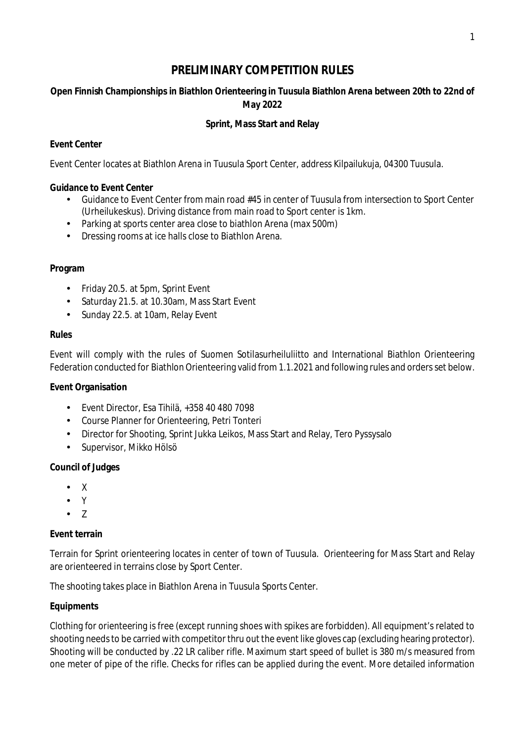# **PRELIMINARY COMPETITION RULES**

**Open Finnish Championships in Biathlon Orienteering in Tuusula Biathlon Arena between 20th to 22nd of May 2022**

## **Sprint, Mass Start and Relay**

## **Event Center**

Event Center locates at Biathlon Arena in Tuusula Sport Center, address Kilpailukuja, 04300 Tuusula.

## **Guidance to Event Center**

- Guidance to Event Center from main road #45 in center of Tuusula from intersection to Sport Center (Urheilukeskus). Driving distance from main road to Sport center is 1km.
- Parking at sports center area close to biathlon Arena (max 500m)
- Dressing rooms at ice halls close to Biathlon Arena.

### **Program**

- Friday 20.5. at 5pm, Sprint Event  $\mathcal{L}^{(1)}$
- $\mathcal{L}^{\text{max}}$ Saturday 21.5. at 10.30am, Mass Start Event
- $\mathcal{L}^{\text{max}}$ Sunday 22.5. at 10am, Relay Event

#### **Rules**

Event will comply with the rules of Suomen Sotilasurheiluliitto and International Biathlon Orienteering Federation conducted for Biathlon Orienteering valid from 1.1.2021 and following rules and orders set below.

**Event Organisation**

- Event Director, Esa Tihilä, +358 40 480 7098  $\mathcal{L}^{\text{max}}$
- $\mathcal{L}^{\text{max}}$ Course Planner for Orienteering, Petri Tonteri
- Director for Shooting, Sprint Jukka Leikos, Mass Start and Relay, Tero Pyssysalo
- Supervisor, Mikko Hölsö  $\mathbf{r}$

#### **Council of Judges**

- $\mathbb{Z}^{n-1}$ X
- Y
- $\cdot$  7

#### **Event terrain**

Terrain for Sprint orienteering locates in center of town of Tuusula. Orienteering for Mass Start and Relay are orienteered in terrains close by Sport Center.

The shooting takes place in Biathlon Arena in Tuusula Sports Center.

## **Equipments**

Clothing for orienteering is free (except running shoes with spikes are forbidden). All equipment's related to shooting needs to be carried with competitor thru out the event like gloves cap (excluding hearing protector). Shooting will be conducted by .22 LR caliber rifle. Maximum start speed of bullet is 380 m/s measured from one meter of pipe of the rifle. Checks for rifles can be applied during the event. More detailed information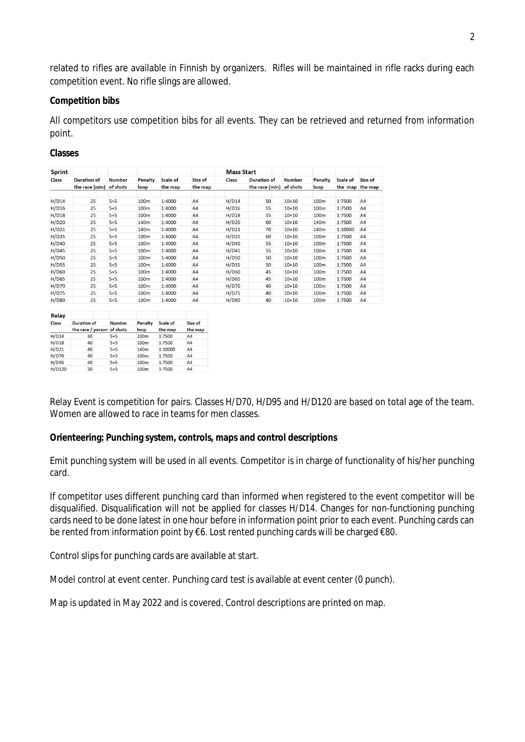related to rifles are available in Finnish by organizers. Rifles will be maintained in rifle racks during each competition event. No rifle slings are allowed.

#### **Competition bibs**

All competitors use competition bibs for all events. They can be retrieved and returned from information point.

**Classes**

| <b>Sprint</b><br><b>Class</b> | <b>Duration of</b><br>the race (min) | <b>Number</b><br>of shots | Penalty<br>loop  | <b>Scale of</b><br>the map | Size of<br>the map | <b>Mass Start</b> |                                      |                           |                  |          |                            |
|-------------------------------|--------------------------------------|---------------------------|------------------|----------------------------|--------------------|-------------------|--------------------------------------|---------------------------|------------------|----------|----------------------------|
|                               |                                      |                           |                  |                            |                    | <b>Class</b>      | <b>Duration of</b><br>the race (min) | <b>Number</b><br>of shots | Penalty<br>loop  | Scale of | Size of<br>the map the map |
|                               |                                      |                           |                  |                            |                    |                   |                                      |                           |                  |          |                            |
| H/D16                         | 25                                   | $5 + 5$                   | 100m             | 1:4000                     | A4                 | H/D16             | 55                                   | $10 + 10$                 | 100m             | 1:7500   | A4                         |
| H/D18                         | 25                                   | $5+5$                     | 100m             | 1:4000                     | A <sub>4</sub>     | H/D18             | 55                                   | $10 + 10$                 | 100m             | 1:7500   | A4                         |
| H/D20                         | 25                                   | $5 + 5$                   | 140 <sub>m</sub> | 1:4000                     | A4                 | H/D20             | 60                                   | $10 + 10$                 | 140 <sub>m</sub> | 1:7500   | A <sub>4</sub>             |
| H/D21                         | 25                                   | $5+5$                     | 140 <sub>m</sub> | 1:4000                     | A <sub>4</sub>     | H/D21             | 70                                   | $10 + 10$                 | 140m             | 1:10000  | AA                         |
| H/D35                         | 25                                   | $5 + 5$                   | 100 <sub>m</sub> | 1:4000                     | A4                 | H/D35             | 60                                   | $10 + 10$                 | 100m             | 1:7500   | A <sub>4</sub>             |
| H/D40                         | 25                                   | $5 + 5$                   | 100m             | 1:4000                     | A <sub>4</sub>     | H/D40             | 55                                   | $10 + 10$                 | 100m             | 1:7500   | A <sub>4</sub>             |
| H/D45                         | 25                                   | $5 + 5$                   | 100m             | 1:4000                     | A4                 | H/D45             | 55                                   | $10+10$                   | 100m             | 1:7500   | A4                         |
| <b>H/D50</b>                  | 25                                   | $5 + 5$                   | 100 <sub>m</sub> | 1:4000                     | A <sub>4</sub>     | H/D50             | 50                                   | $10+10$                   | 100 <sub>m</sub> | 1:7500   | A <sub>4</sub>             |
| <b>H/D55</b>                  | 25                                   | $5+5$                     | 100 <sub>m</sub> | 1:4000                     | A <sub>4</sub>     | H/D55             | 50                                   | $10 + 10$                 | 100m             | 1:7500   | A <sub>4</sub>             |
| <b>H/D60</b>                  | 25                                   | $5 + 5$                   | 100 <sub>m</sub> | 1:4000                     | A <sub>4</sub>     | <b>H/D60</b>      | 45                                   | $10+10$                   | 100m             | 1:7500   | A4                         |
| H/D65                         | 25                                   | $5 + 5$                   | 100 <sub>m</sub> | 1:4000                     | A <sub>4</sub>     | H/D65             | 45                                   | $10+10$                   | 100 <sub>m</sub> | 1:7500   | A <sub>4</sub>             |
| H/D70                         | 25                                   | $5 + 5$                   | 100m             | 1:4000                     | A4                 | H/D70             | 40                                   | $10 + 10$                 | 100m             | 1:7500   | AA                         |
| H/D75                         | 25                                   | $5 + 5$                   | 100 <sub>m</sub> | 1:4000                     | <b>A4</b>          | H/D75             | 40                                   | $10 + 10$                 | 100m             | 1:7500   | AA                         |
| <b>H/D80</b>                  | 25                                   | $5+5$                     | 100m             | 1:4000                     | A <sub>4</sub>     | <b>H/D80</b>      | 40                                   | $10 + 10$                 | 100m             | 1:7500   | A4                         |

| Reiay        |                            |               |                  |                 |                    |  |
|--------------|----------------------------|---------------|------------------|-----------------|--------------------|--|
| Class        | <b>Duration of</b>         | <b>Number</b> | Penalty          | <b>Scale of</b> | Size of<br>the map |  |
|              | the race / person of shots |               | loop             | the map         |                    |  |
| H/D14        | 30                         | $5 + 5$       | 100 <sub>m</sub> | 1:7500          | A <sub>4</sub>     |  |
| H/D18        | 40                         | $5 + 5$       | 100 <sub>m</sub> | 1:7500          | AA                 |  |
| H/D21        | 40                         | $5 + 5$       | 140 <sub>m</sub> | 1:10000         | A <sub>4</sub>     |  |
| <b>H/D70</b> | 40                         | $5 + 5$       | 100 <sub>m</sub> | 1:7500          | AA                 |  |
| H/D95        | 40                         | $5 + 5$       | 100 <sub>m</sub> | 1:7500          | A <sub>4</sub>     |  |
| H/D120       | 30                         | $5 + 5$       | 100 <sub>m</sub> | 1:7500          | A <sub>4</sub>     |  |

Relay Event is competition for pairs. Classes H/D70, H/D95 and H/D120 are based on total age of the team. Women are allowed to race in teams for men classes.

**Orienteering: Punching system, controls, maps and control descriptions**

Emit punching system will be used in all events. Competitor is in charge of functionality of his/her punching card.

If competitor uses different punching card than informed when registered to the event competitor will be disqualified. Disqualification will not be applied for classes H/D14. Changes for non-functioning punching cards need to be done latest in one hour before in information point prior to each event. Punching cards can be rented from information point by €6. Lost rented punching cards will be charged €80.

Control slips for punching cards are available at start.

Model control at event center. Punching card test is available at event center (0 punch).

Map is updated in May 2022 and is covered. Control descriptions are printed on map.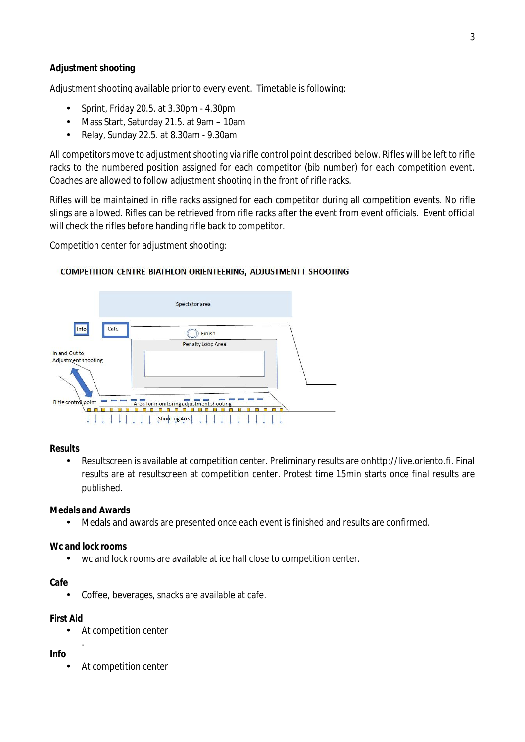### **Adjustment shooting**

Adjustment shooting available prior to every event. Timetable is following:

- Sprint, Friday 20.5. at 3.30pm 4.30pm
- Mass Start, Saturday 21.5. at 9am 10am  $\sim$
- Relay, Sunday 22.5. at 8.30am 9.30am  $\overline{a}$

All competitors move to adjustment shooting via rifle control point described below. Rifles will be left to rifle racks to the numbered position assigned for each competitor (bib number) for each competition event. Coaches are allowed to follow adjustment shooting in the front of rifle racks.

Rifles will be maintained in rifle racks assigned for each competitor during all competition events. No rifle slings are allowed. Rifles can be retrieved from rifle racks after the event from event officials. Event official will check the rifles before handing rifle back to competitor.

Competition center for adjustment shooting:



#### COMPETITION CENTRE BIATHLON ORIENTEERING, ADJUSTMENTT SHOOTING

**Results**

l, Resultscreen is available at competition center. Preliminary results are onhttp://live.oriento.fi. Final results are at resultscreen at competition center. Protest time 15min starts once final results are published.

**Medals and Awards**

Medals and awards are presented once each event is finished and results are confirmed.

**Wc and lock rooms**

wc and lock rooms are available at ice hall close to competition center.

**Cafe**

Coffee, beverages, snacks are available at cafe.

**First Aid**

.

At competition center

**Info**

At competition center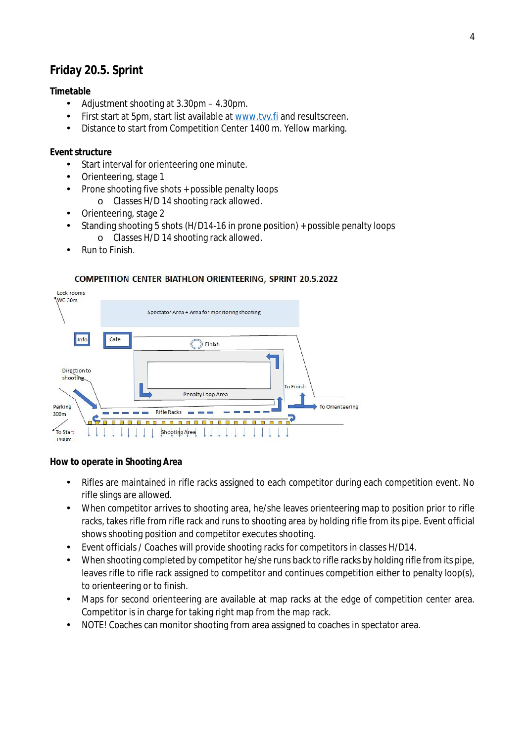# **Friday 20.5. Sprint**

## **Timetable**

- Adjustment shooting at 3.30pm 4.30pm. l,
- First start at 5pm, start list available at www.tvv.fi and resultscreen.
- Distance to start from Competition Center 1400 m. Yellow marking.

## **Event structure**

- Start interval for orienteering one minute.  $\mathbf{r}$
- Orienteering, stage 1
- Prone shooting five shots + possible penalty loops t.
	- o Classes H/D 14 shooting rack allowed.
- Orienteering, stage 2  $\overline{a}$
- Standing shooting 5 shots (H/D14-16 in prone position) + possible penalty loops o Classes H/D 14 shooting rack allowed.
- Run to Finish.

## **COMPETITION CENTER BIATHLON ORIENTEERING, SPRINT 20.5.2022**



**How to operate in Shooting Area**

- Rifles are maintained in rifle racks assigned to each competitor during each competition event. No rifle slings are allowed.
- When competitor arrives to shooting area, he/she leaves orienteering map to position prior to rifle t. racks, takes rifle from rifle rack and runs to shooting area by holding rifle from its pipe. Event official shows shooting position and competitor executes shooting.
- Event officials / Coaches will provide shooting racks for competitors in classes H/D14.
- When shooting completed by competitor he/she runs back to rifle racks by holding rifle from its pipe,  $\overline{a}$ leaves rifle to rifle rack assigned to competitor and continues competition either to penalty loop(s), to orienteering or to finish.
- Maps for second orienteering are available at map racks at the edge of competition center area.  $\overline{a}$ Competitor is in charge for taking right map from the map rack.
- NOTE! Coaches can monitor shooting from area assigned to coaches in spectator area. $\overline{a}$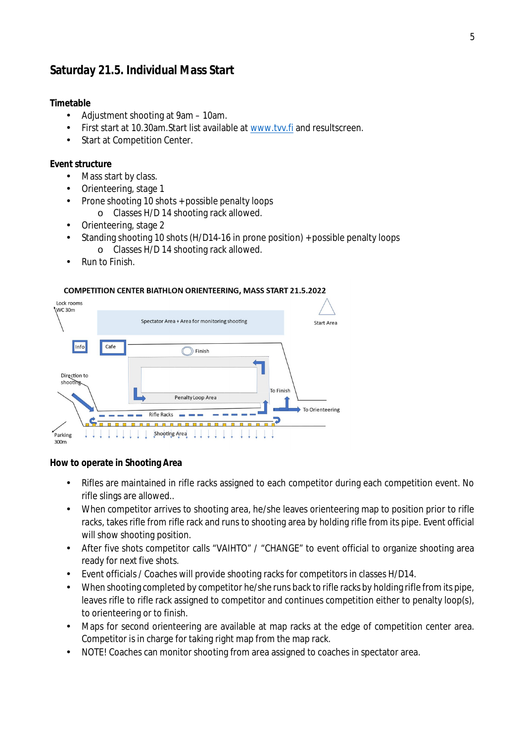# **Saturday 21.5. Individual Mass Start**

## **Timetable**

- $\mathbf{r}$ Adjustment shooting at 9am – 10am.
- First start at 10.30am.Start list available at www.tvv.fi and resultscreen.
- Start at Competition Center. l,

#### **Event structure**

- Mass start by class.
- Orienteering, stage 1
- Prone shooting 10 shots + possible penalty loops
	- o Classes H/D 14 shooting rack allowed.
- Orienteering, stage 2
- Standing shooting 10 shots (H/D14-16 in prone position) + possible penalty loops o Classes H/D 14 shooting rack allowed.
- Run to Finish.

#### **COMPETITION CENTER BIATHLON ORIENTEERING, MASS START 21.5.2022**



**How to operate in Shooting Area**

- Rifles are maintained in rifle racks assigned to each competitor during each competition event. No rifle slings are allowed..
- When competitor arrives to shooting area, he/she leaves orienteering map to position prior to rifle racks, takes rifle from rifle rack and runs to shooting area by holding rifle from its pipe. Event official will show shooting position.
- After five shots competitor calls "VAIHTO" / "CHANGE" to event official to organize shooting area l, ready for next five shots.
- Event officials / Coaches will provide shooting racks for competitors in classes H/D14.
- When shooting completed by competitor he/she runs back to rifle racks by holding rifle from its pipe, leaves rifle to rifle rack assigned to competitor and continues competition either to penalty loop(s), to orienteering or to finish.
- Maps for second orienteering are available at map racks at the edge of competition center area. Competitor is in charge for taking right map from the map rack.
- NOTE! Coaches can monitor shooting from area assigned to coaches in spectator area.